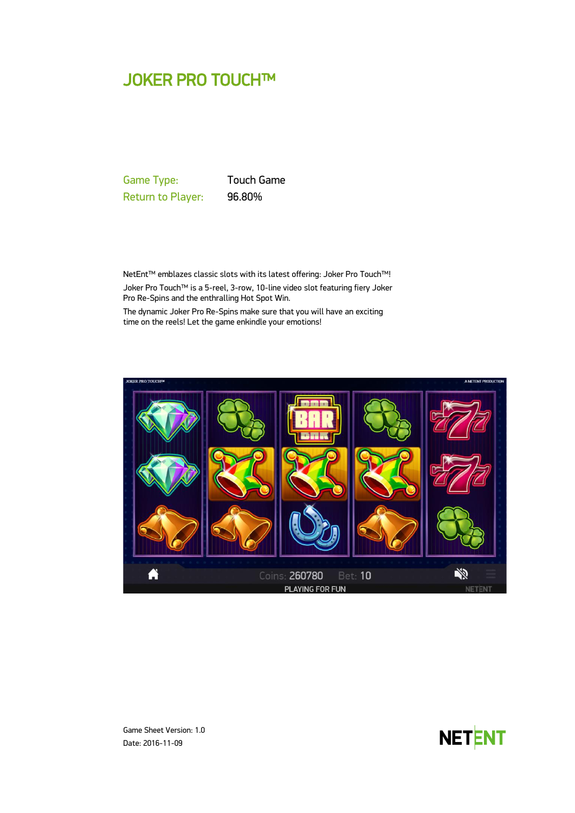# JOKER PRO TOUCH™

Game Type: Touch Game Return to Player: 96.80%

NetEnt™ emblazes classic slots with its latest offering: Joker Pro Touch™! Joker Pro Touch™ is a 5-reel, 3-row, 10-line video slot featuring fiery Joker Pro Re-Spins and the enthralling Hot Spot Win.

The dynamic Joker Pro Re-Spins make sure that you will have an exciting time on the reels! Let the game enkindle your emotions!





Game Sheet Version: 1.0 Date: 2016-11-09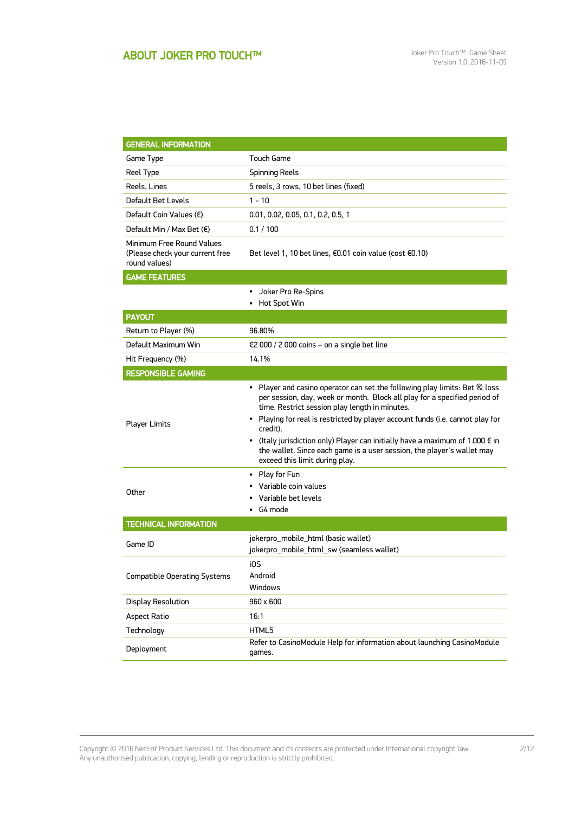| <b>GENERAL INFORMATION</b>                                                    |                                                                                                                                                                                                                                                                                                                                                                                                                                                                                                                          |  |  |
|-------------------------------------------------------------------------------|--------------------------------------------------------------------------------------------------------------------------------------------------------------------------------------------------------------------------------------------------------------------------------------------------------------------------------------------------------------------------------------------------------------------------------------------------------------------------------------------------------------------------|--|--|
| Game Type                                                                     | Touch Game                                                                                                                                                                                                                                                                                                                                                                                                                                                                                                               |  |  |
| Reel Type                                                                     | <b>Spinning Reels</b>                                                                                                                                                                                                                                                                                                                                                                                                                                                                                                    |  |  |
| Reels, Lines                                                                  | 5 reels, 3 rows, 10 bet lines (fixed)                                                                                                                                                                                                                                                                                                                                                                                                                                                                                    |  |  |
| Default Bet Levels                                                            | $1 - 10$                                                                                                                                                                                                                                                                                                                                                                                                                                                                                                                 |  |  |
| Default Coin Values $(\epsilon)$                                              | 0.01, 0.02, 0.05, 0.1, 0.2, 0.5, 1                                                                                                                                                                                                                                                                                                                                                                                                                                                                                       |  |  |
| Default Min / Max Bet (€)                                                     | 0.1/100                                                                                                                                                                                                                                                                                                                                                                                                                                                                                                                  |  |  |
| Minimum Free Round Values<br>(Please check your current free<br>round values) | Bet level 1, 10 bet lines, €0.01 coin value (cost €0.10)                                                                                                                                                                                                                                                                                                                                                                                                                                                                 |  |  |
| <b>GAME FEATURES</b>                                                          |                                                                                                                                                                                                                                                                                                                                                                                                                                                                                                                          |  |  |
|                                                                               | Joker Pro Re-Spins<br>٠<br>• Hot Spot Win                                                                                                                                                                                                                                                                                                                                                                                                                                                                                |  |  |
| <b>PAYOUT</b>                                                                 |                                                                                                                                                                                                                                                                                                                                                                                                                                                                                                                          |  |  |
| Return to Player (%)                                                          | 96.80%                                                                                                                                                                                                                                                                                                                                                                                                                                                                                                                   |  |  |
| Default Maximum Win                                                           | $\epsilon$ 2 000 / 2 000 coins – on a single bet line                                                                                                                                                                                                                                                                                                                                                                                                                                                                    |  |  |
| Hit Frequency (%)                                                             | 14.1%                                                                                                                                                                                                                                                                                                                                                                                                                                                                                                                    |  |  |
| <b>RESPONSIBLE GAMING</b>                                                     |                                                                                                                                                                                                                                                                                                                                                                                                                                                                                                                          |  |  |
| <b>Player Limits</b>                                                          | • Player and casino operator can set the following play limits: Bet $\mathcal R$ loss<br>per session, day, week or month. Block all play for a specified period of<br>time. Restrict session play length in minutes.<br>• Playing for real is restricted by player account funds (i.e. cannot play for<br>credit).<br>• (Italy jurisdiction only) Player can initially have a maximum of 1.000 $\epsilon$ in<br>the wallet. Since each game is a user session, the player's wallet may<br>exceed this limit during play. |  |  |
| Other                                                                         | • Play for Fun<br>Variable coin values<br>Variable bet levels<br>G4 mode                                                                                                                                                                                                                                                                                                                                                                                                                                                 |  |  |
| <b>TECHNICAL INFORMATION</b>                                                  |                                                                                                                                                                                                                                                                                                                                                                                                                                                                                                                          |  |  |
| Game ID                                                                       | jokerpro_mobile_html (basic wallet)<br>jokerpro_mobile_html_sw (seamless wallet)                                                                                                                                                                                                                                                                                                                                                                                                                                         |  |  |
| <b>Compatible Operating Systems</b>                                           | i0S<br>Android<br>Windows                                                                                                                                                                                                                                                                                                                                                                                                                                                                                                |  |  |
| <b>Display Resolution</b>                                                     | 960 x 600                                                                                                                                                                                                                                                                                                                                                                                                                                                                                                                |  |  |
| <b>Aspect Ratio</b>                                                           | 16:1                                                                                                                                                                                                                                                                                                                                                                                                                                                                                                                     |  |  |
| Technology                                                                    | HTML5                                                                                                                                                                                                                                                                                                                                                                                                                                                                                                                    |  |  |
| Deployment                                                                    | Refer to CasinoModule Help for information about launching CasinoModule<br>games.                                                                                                                                                                                                                                                                                                                                                                                                                                        |  |  |

Copyright © 2016 NetEnt Product Services Ltd. This document and its contents are protected under International copyright law. Any unauthorised publication, copying, lending or reproduction is strictly prohibited.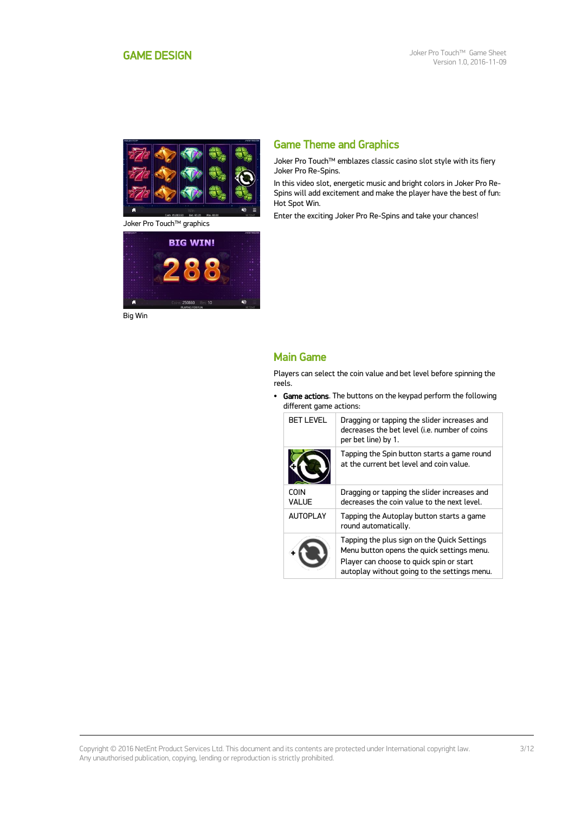<span id="page-2-0"></span>

Joker Pro Touch™ graphics



Big Win

### Game Theme and Graphics

Joker Pro Touch™ emblazes classic casino slot style with its fiery Joker Pro Re-Spins.

In this video slot, energetic music and bright colors in Joker Pro Re-Spins will add excitement and make the player have the best of fun: Hot Spot Win.

Enter the exciting Joker Pro Re-Spins and take your chances!

### Main Game

Players can select the coin value and bet level before spinning the reels.

• Game actions. The buttons on the keypad perform the following different game actions:

| <b>BET LEVEL</b>      | Dragging or tapping the slider increases and<br>decreases the bet level (i.e. number of coins<br>per bet line) by 1.                                                                  |
|-----------------------|---------------------------------------------------------------------------------------------------------------------------------------------------------------------------------------|
|                       | Tapping the Spin button starts a game round<br>at the current het level and coin value.                                                                                               |
| <b>COIN</b><br>VAI UF | Dragging or tapping the slider increases and<br>decreases the coin value to the next level.                                                                                           |
| <b>AUTOPLAY</b>       | Tapping the Autoplay button starts a game<br>round automatically.                                                                                                                     |
|                       | Tapping the plus sign on the Quick Settings<br>Menu button opens the quick settings menu.<br>Player can choose to quick spin or start<br>autoplay without going to the settings menu. |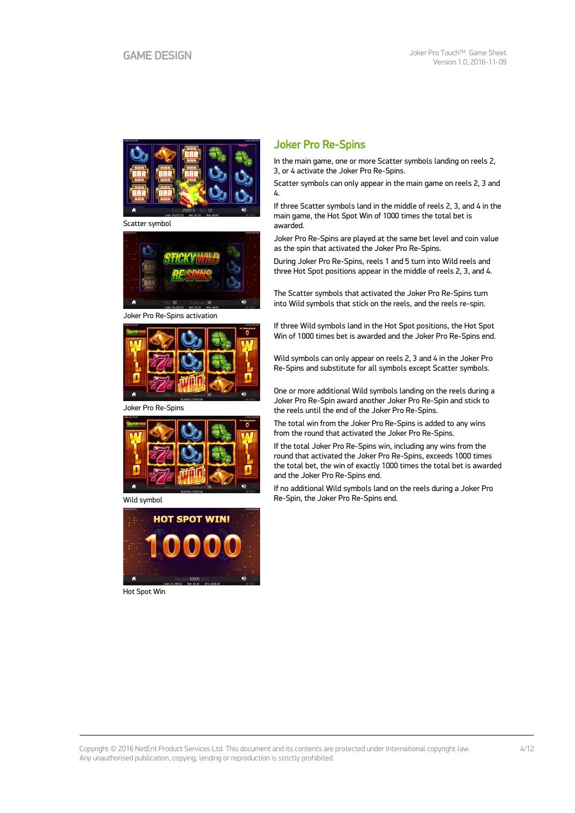

Scatter symbol



Joker Pro Re-Spins activation



Joker Pro Re-Spins



Wild symbol



Hot Spot Win

### Joker Pro Re-Spins

In the main game, one or more Scatter symbols landing on reels 2, 3, or 4 activate the Joker Pro Re-Spins.

Scatter symbols can only appear in the main game on reels 2, 3 and 4.

If three Scatter symbols land in the middle of reels 2, 3, and 4 in the main game, the Hot Spot Win of 1000 times the total bet is awarded.

Joker Pro Re-Spins are played at the same bet level and coin value as the spin that activated the Joker Pro Re-Spins.

During Joker Pro Re-Spins, reels 1 and 5 turn into Wild reels and three Hot Spot positions appear in the middle of reels 2, 3, and 4.

The Scatter symbols that activated the Joker Pro Re-Spins turn into Wild symbols that stick on the reels, and the reels re-spin.

If three Wild symbols land in the Hot Spot positions, the Hot Spot Win of 1000 times bet is awarded and the Joker Pro Re-Spins end.

Wild symbols can only appear on reels 2, 3 and 4 in the Joker Pro Re-Spins and substitute for all symbols except Scatter symbols.

One or more additional Wild symbols landing on the reels during a Joker Pro Re-Spin award another Joker Pro Re-Spin and stick to the reels until the end of the Joker Pro Re-Spins.

The total win from the Joker Pro Re-Spins is added to any wins from the round that activated the Joker Pro Re-Spins.

If the total Joker Pro Re-Spins win, including any wins from the round that activated the Joker Pro Re-Spins, exceeds 1000 times the total bet, the win of exactly 1000 times the total bet is awarded and the Joker Pro Re-Spins end.

If no additional Wild symbols land on the reels during a Joker Pro Re-Spin, the Joker Pro Re-Spins end.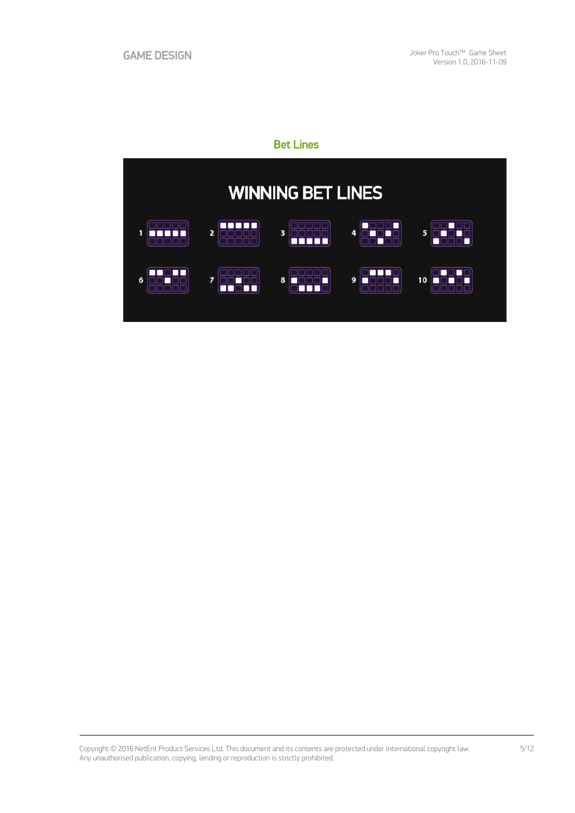## Bet Lines



Copyright © 2016 NetEnt Product Services Ltd. This document and its contents are protected under International copyright law. Any unauthorised publication, copying, lending or reproduction is strictly prohibited.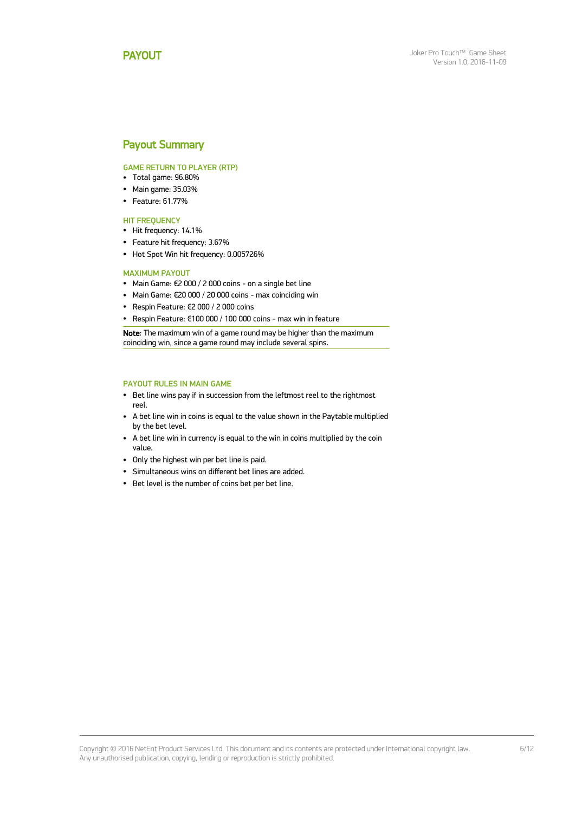### <span id="page-5-0"></span>Payout Summary

#### GAME RETURN TO PLAYER (RTP)

- Total game: 96.80%
- Main game: 35.03%
- Feature: 61.77%

#### **HIT FREQUENCY**

- Hit frequency: 14.1%
- Feature hit frequency: 3.67%
- Hot Spot Win hit frequency: 0.005726%

#### MAXIMUM PAYOUT

- Main Game: €2 000 / 2 000 coins on a single bet line
- Main Game: €20 000 / 20 000 coins max coinciding win
- Respin Feature: €2 000 / 2 000 coins
- Respin Feature: €100 000 / 100 000 coins max win in feature

Note: The maximum win of a game round may be higher than the maximum coinciding win, since a game round may include several spins.

#### PAYOUT RULES IN MAIN GAME

- Bet line wins pay if in succession from the leftmost reel to the rightmost reel.
- A bet line win in coins is equal to the value shown in the Paytable multiplied by the bet level.
- A bet line win in currency is equal to the win in coins multiplied by the coin value.
- Only the highest win per bet line is paid.
- Simultaneous wins on different bet lines are added.
- Bet level is the number of coins bet per bet line.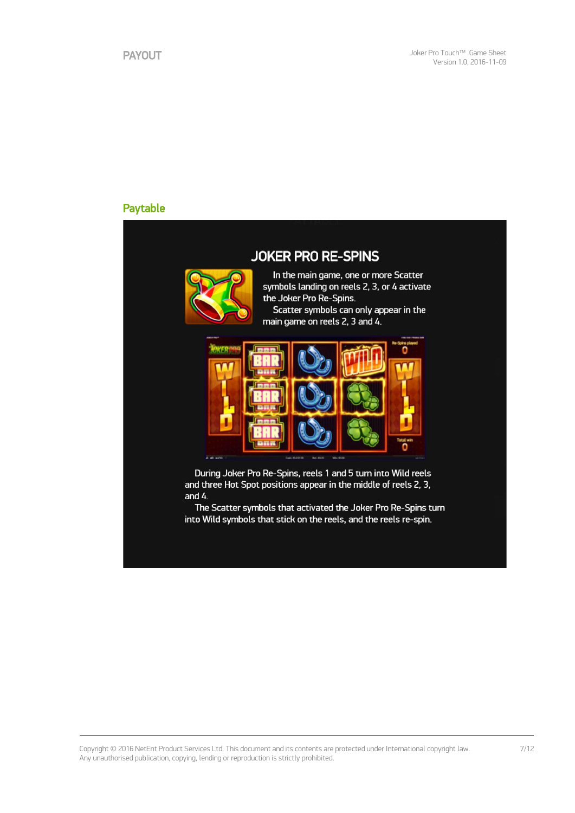### Paytable

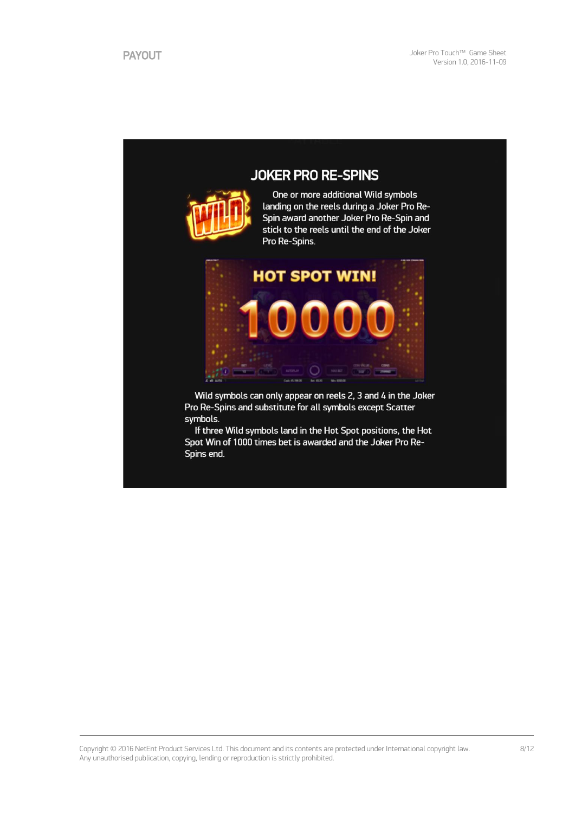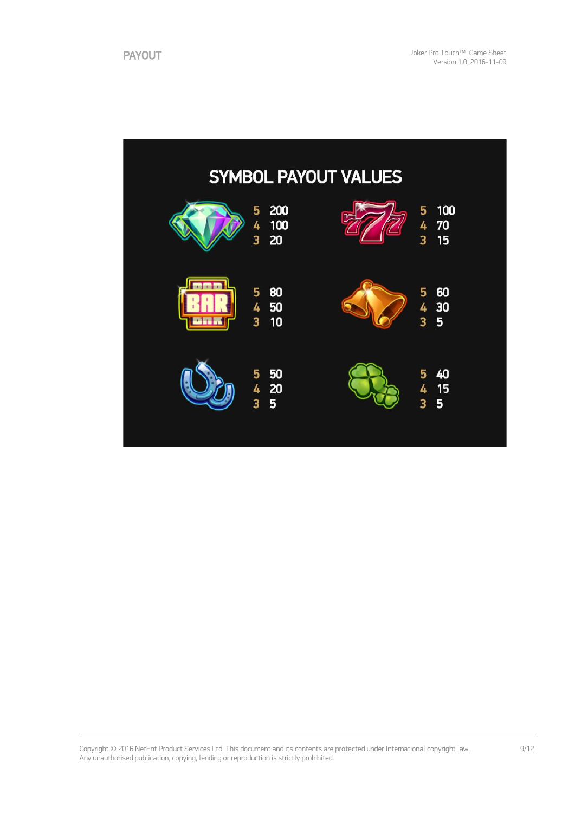|    |                                 | <b>SYMBOL PAYOUT VALUES</b> |                                |
|----|---------------------------------|-----------------------------|--------------------------------|
|    | 200<br>5<br>4<br>100<br>3<br>20 | P                           | 100<br>5<br>4<br>70<br>3<br>15 |
| b. | 5<br>80<br>4 50<br>3<br>10      |                             | 60<br>5<br>4<br>30<br>3<br>5   |
|    | 50<br>5<br>420<br>3<br>5        |                             | 40<br>5<br>15<br>4<br>3<br>5   |

Copyright © 2016 NetEnt Product Services Ltd. This document and its contents are protected under International copyright law. Any unauthorised publication, copying, lending or reproduction is strictly prohibited.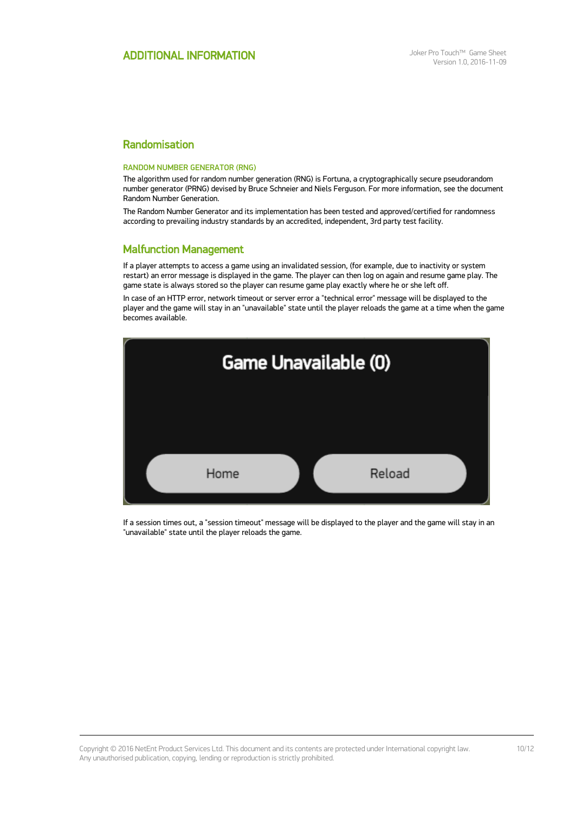### Randomisation

#### RANDOM NUMBER GENERATOR (RNG)

The algorithm used for random number generation (RNG) is Fortuna, a cryptographically secure pseudorandom number generator (PRNG) devised by Bruce Schneier and Niels Ferguson. For more information, see the document Random Number Generation.

The Random Number Generator and its implementation has been tested and approved/certified for randomness according to prevailing industry standards by an accredited, independent, 3rd party test facility.

### Malfunction Management

If a player attempts to access a game using an invalidated session, (for example, due to inactivity or system restart) an error message is displayed in the game. The player can then log on again and resume game play. The game state is always stored so the player can resume game play exactly where he or she left off.

In case of an HTTP error, network timeout or server error a "technical error" message will be displayed to the player and the game will stay in an "unavailable" state until the player reloads the game at a time when the game becomes available.



If a session times out, a "session timeout" message will be displayed to the player and the game will stay in an "unavailable" state until the player reloads the game.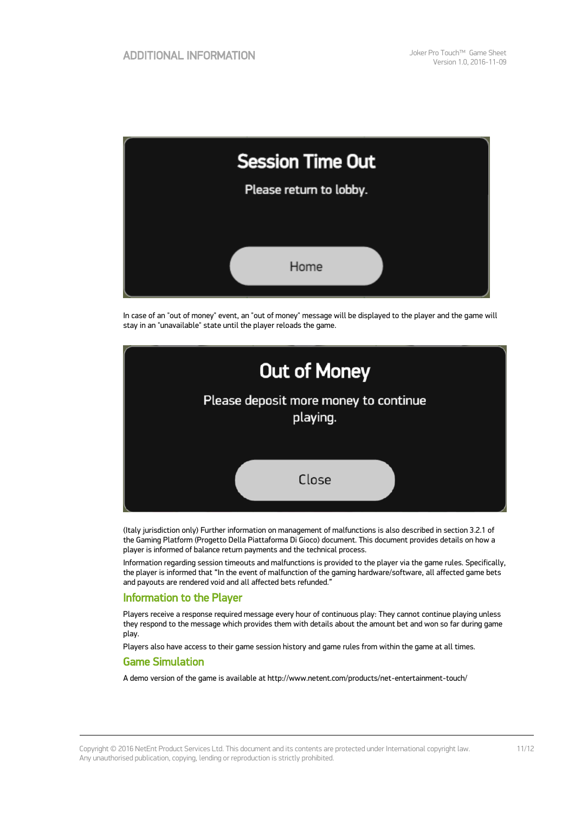

In case of an "out of money" event, an "out of money" message will be displayed to the player and the game will stay in an "unavailable" state until the player reloads the game.



(Italy jurisdiction only) Further information on management of malfunctions is also described in section 3.2.1 of the Gaming Platform (Progetto Della Piattaforma Di Gioco) document. This document provides details on how a player is informed of balance return payments and the technical process.

Information regarding session timeouts and malfunctions is provided to the player via the game rules. Specifically, the player is informed that "In the event of malfunction of the gaming hardware/software, all affected game bets and payouts are rendered void and all affected bets refunded."

### Information to the Player

Players receive a response required message every hour of continuous play: They cannot continue playing unless they respond to the message which provides them with details about the amount bet and won so far during game play.

Players also have access to their game session history and game rules from within the game at all times.

#### Game Simulation

A demo version of the game is available at http://www.netent.com/products/net-entertainment-touch/